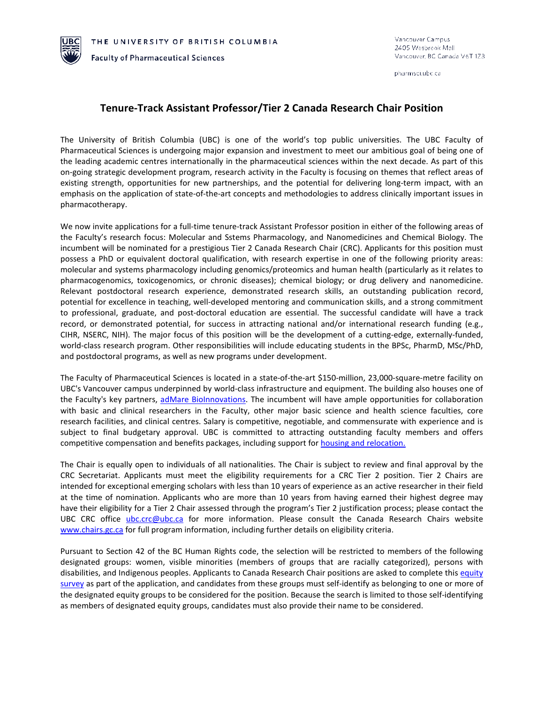**Faculty of Pharmaceutical Sciences** 

pharmsci.ubc.ca

## **Tenure-Track Assistant Professor/Tier 2 Canada Research Chair Position**

The University of British Columbia (UBC) is one of the world's top public universities. The UBC Faculty of Pharmaceutical Sciences is undergoing major expansion and investment to meet our ambitious goal of being one of the leading academic centres internationally in the pharmaceutical sciences within the next decade. As part of this on-going strategic development program, research activity in the Faculty is focusing on themes that reflect areas of existing strength, opportunities for new partnerships, and the potential for delivering long-term impact, with an emphasis on the application of state-of-the-art concepts and methodologies to address clinically important issues in pharmacotherapy.

We now invite applications for a full-time tenure-track Assistant Professor position in either of the following areas of the Faculty's research focus: Molecular and Sstems Pharmacology, and Nanomedicines and Chemical Biology. The incumbent will be nominated for a prestigious Tier 2 Canada Research Chair (CRC). Applicants for this position must possess a PhD or equivalent doctoral qualification, with research expertise in one of the following priority areas: molecular and systems pharmacology including genomics/proteomics and human health (particularly as it relates to pharmacogenomics, toxicogenomics, or chronic diseases); chemical biology; or drug delivery and nanomedicine. Relevant postdoctoral research experience, demonstrated research skills, an outstanding publication record, potential for excellence in teaching, well-developed mentoring and communication skills, and a strong commitment to professional, graduate, and post-doctoral education are essential. The successful candidate will have a track record, or demonstrated potential, for success in attracting national and/or international research funding (e.g., CIHR, NSERC, NIH). The major focus of this position will be the development of a cutting-edge, externally-funded, world-class research program. Other responsibilities will include educating students in the BPSc, PharmD, MSc/PhD, and postdoctoral programs, as well as new programs under development.

The Faculty of Pharmaceutical Sciences is located in a state-of-the-art \$150-million, 23,000-square-metre facility on UBC's Vancouver campus underpinned by world-class infrastructure and equipment. The building also houses one of the Faculty's key partners, [adMare BioInnovations.](https://www.admarebio.com/) The incumbent will have ample opportunities for collaboration with basic and clinical researchers in the Faculty, other major basic science and health science faculties, core research facilities, and clinical centres. Salary is competitive, negotiable, and commensurate with experience and is subject to final budgetary approval. UBC is committed to attracting outstanding faculty members and offers competitive compensation and benefits packages, including support for [housing and relocation.](http://www.hr.ubc.ca/housing-relocation/fhop/)

The Chair is equally open to individuals of all nationalities. The Chair is subject to review and final approval by the CRC Secretariat. Applicants must meet the eligibility requirements for a CRC Tier 2 position. Tier 2 Chairs are intended for exceptional emerging scholars with less than 10 years of experience as an active researcher in their field at the time of nomination. Applicants who are more than 10 years from having earned their highest degree may have their eligibility for a Tier 2 Chair assessed through the program's Tier 2 justification process; please contact the UBC CRC office [ubc.crc@ubc.ca](mailto:ubc.crc@ubc.ca) for more information. Please consult the Canada Research Chairs website [www.chairs.gc.ca](http://www.chairs.gc.ca/) for full program information, including further details on eligibility criteria.

Pursuant to Section 42 of the BC Human Rights code, the selection will be restricted to members of the following designated groups: women, visible minorities (members of groups that are racially categorized), persons with disabilities, and Indigenous peoples. Applicants to Canada Research Chair positions are asked to complete this equity [survey](https://ubc.ca1.qualtrics.com/jfe/form/SV_6WJHol7SfPxRMu9) as part of the application, and candidates from these groups must self-identify as belonging to one or more of the designated equity groups to be considered for the position. Because the search is limited to those self-identifying as members of designated equity groups, candidates must also provide their name to be considered.